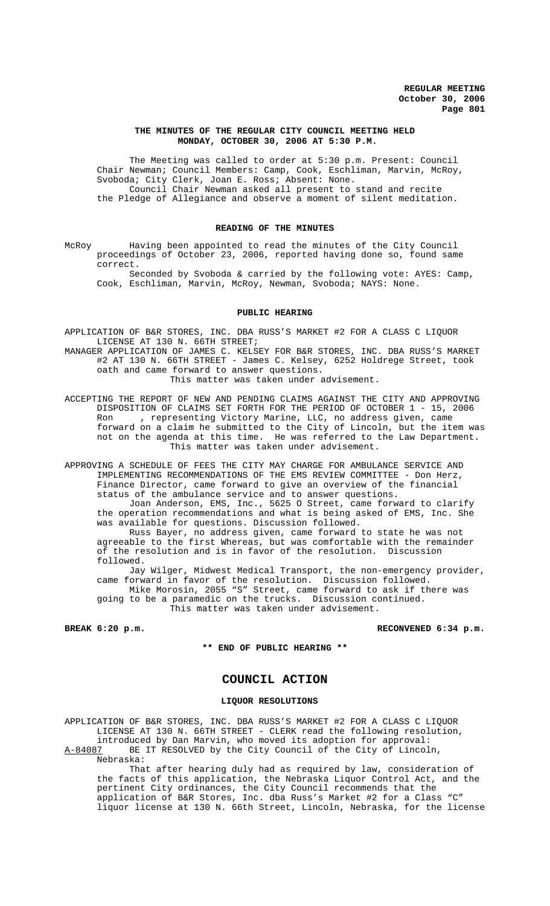#### **THE MINUTES OF THE REGULAR CITY COUNCIL MEETING HELD MONDAY, OCTOBER 30, 2006 AT 5:30 P.M.**

The Meeting was called to order at 5:30 p.m. Present: Council Chair Newman; Council Members: Camp, Cook, Eschliman, Marvin, McRoy, Svoboda; City Clerk, Joan E. Ross; Absent: None. Council Chair Newman asked all present to stand and recite the Pledge of Allegiance and observe a moment of silent meditation.

## **READING OF THE MINUTES**

McRoy Having been appointed to read the minutes of the City Council proceedings of October 23, 2006, reported having done so, found same correct.

Seconded by Svoboda & carried by the following vote: AYES: Camp, Cook, Eschliman, Marvin, McRoy, Newman, Svoboda; NAYS: None.

#### **PUBLIC HEARING**

APPLICATION OF B&R STORES, INC. DBA RUSS'S MARKET #2 FOR A CLASS C LIQUOR LICENSE AT 130 N. 66TH STREET;

MANAGER APPLICATION OF JAMES C. KELSEY FOR B&R STORES, INC. DBA RUSS'S MARKET #2 AT 130 N. 66TH STREET - James C. Kelsey, 6252 Holdrege Street, took oath and came forward to answer questions. This matter was taken under advisement.

ACCEPTING THE REPORT OF NEW AND PENDING CLAIMS AGAINST THE CITY AND APPROVING DISPOSITION OF CLAIMS SET FORTH FOR THE PERIOD OF OCTOBER 1 - 15, 2006 Ron , representing Victory Marine, LLC, no address given, came forward on a claim he submitted to the City of Lincoln, but the item was not on the agenda at this time. He was referred to the Law Department. This matter was taken under advisement.

APPROVING A SCHEDULE OF FEES THE CITY MAY CHARGE FOR AMBULANCE SERVICE AND IMPLEMENTING RECOMMENDATIONS OF THE EMS REVIEW COMMITTEE - Don Herz, Finance Director, came forward to give an overview of the financial status of the ambulance service and to answer questions.

Joan Anderson, EMS, Inc., 5625 O Street, came forward to clarify the operation recommendations and what is being asked of EMS, Inc. She was available for questions. Discussion followed.

Russ Bayer, no address given, came forward to state he was not agreeable to the first Whereas, but was comfortable with the remainder of the resolution and is in favor of the resolution. Discussion followed.

Jay Wilger, Midwest Medical Transport, the non-emergency provider, came forward in favor of the resolution. Discussion followed. Mike Morosin, 2055 "S" Street, came forward to ask if there was going to be a paramedic on the trucks. Discussion continued.

This matter was taken under advisement.

**BREAK 6:20 p.m. BREAK 6:20 p.m.** 

**\*\* END OF PUBLIC HEARING \*\***

# **COUNCIL ACTION**

#### **LIQUOR RESOLUTIONS**

APPLICATION OF B&R STORES, INC. DBA RUSS'S MARKET #2 FOR A CLASS C LIQUOR LICENSE AT 130 N. 66TH STREET - CLERK read the following resolution, introduced by Dan Marvin, who moved its adoption for approval:<br>A-84087 BE IT RESOLVED by the City Council of the City of Lincol BE IT RESOLVED by the City Council of the City of Lincoln,

Nebraska:

That after hearing duly had as required by law, consideration of the facts of this application, the Nebraska Liquor Control Act, and the pertinent City ordinances, the City Council recommends that the application of B&R Stores, Inc. dba Russ's Market #2 for a Class "C" liquor license at 130 N. 66th Street, Lincoln, Nebraska, for the license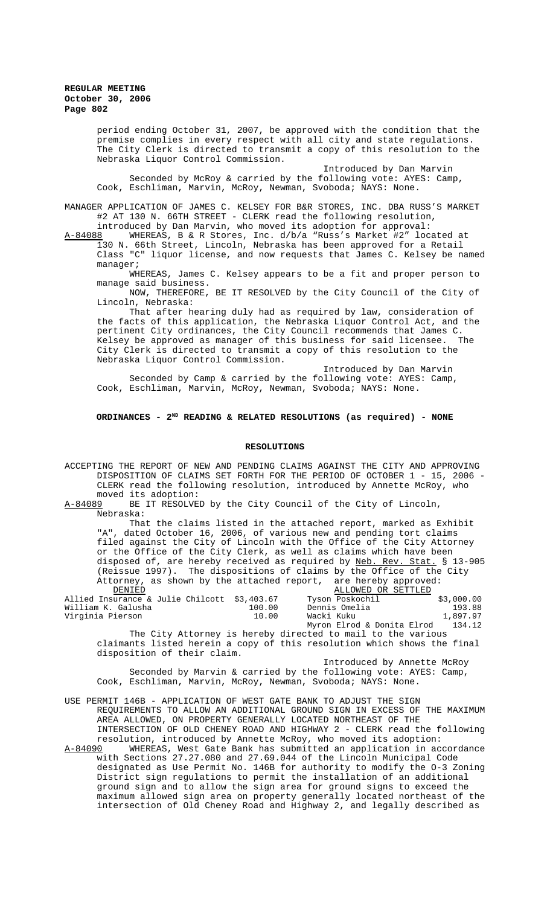period ending October 31, 2007, be approved with the condition that the premise complies in every respect with all city and state regulations. The City Clerk is directed to transmit a copy of this resolution to the Nebraska Liquor Control Commission.

Introduced by Dan Marvin Seconded by McRoy & carried by the following vote: AYES: Camp, Cook, Eschliman, Marvin, McRoy, Newman, Svoboda; NAYS: None.

MANAGER APPLICATION OF JAMES C. KELSEY FOR B&R STORES, INC. DBA RUSS'S MARKET #2 AT 130 N. 66TH STREET - CLERK read the following resolution,

introduced by Dan Marvin, who moved its adoption for approval:<br>A-84088 WHEREAS, B & R Stores, Inc. d/b/a "Russ's Market #2" loc A-84088 MHEREAS, B & R Stores, Inc. d/b/a "Russ's Market #2" located at 130 N. 66th Street, Lincoln, Nebraska has been approved for a Retail Class "C" liquor license, and now requests that James C. Kelsey be named manager;

WHEREAS, James C. Kelsey appears to be a fit and proper person to manage said business.

NOW, THEREFORE, BE IT RESOLVED by the City Council of the City of Lincoln, Nebraska:

That after hearing duly had as required by law, consideration of the facts of this application, the Nebraska Liquor Control Act, and the pertinent City ordinances, the City Council recommends that James C. Kelsey be approved as manager of this business for said licensee. The City Clerk is directed to transmit a copy of this resolution to the Nebraska Liquor Control Commission.

Introduced by Dan Marvin Seconded by Camp & carried by the following vote: AYES: Camp, Cook, Eschliman, Marvin, McRoy, Newman, Svoboda; NAYS: None.

## **ORDINANCES - 2ND READING & RELATED RESOLUTIONS (as required) - NONE**

#### **RESOLUTIONS**

ACCEPTING THE REPORT OF NEW AND PENDING CLAIMS AGAINST THE CITY AND APPROVING DISPOSITION OF CLAIMS SET FORTH FOR THE PERIOD OF OCTOBER 1 - 15, 2006 - CLERK read the following resolution, introduced by Annette McRoy, who

moved its adoption:<br>A-84089 BE IT RESOLVE BE IT RESOLVED by the City Council of the City of Lincoln, Nebraska:

That the claims listed in the attached report, marked as Exhibit "A", dated October 16, 2006, of various new and pending tort claims filed against the City of Lincoln with the Office of the City Attorney or the Office of the City Clerk, as well as claims which have been disposed of, are hereby received as required by Neb. Rev. Stat. § 13-905 (Reissue 1997). The dispositions of claims by the Office of the City Attorney, as shown by the attached report, are hereby approved:

| DENIED                                       |        | ALLOWED OR SETTLED         |            |
|----------------------------------------------|--------|----------------------------|------------|
| Allied Insurance & Julie Chilcott \$3,403.67 |        | Tyson Poskochil            | \$3,000.00 |
| William K. Galusha                           | 100.00 | Dennis Omelia              | 193.88     |
| Virginia Pierson                             | 10.00  | Wacki Kuku                 | 1,897.97   |
|                                              |        | Myron Elrod & Donita Elrod | 134.12     |

The City Attorney is hereby directed to mail to the various claimants listed herein a copy of this resolution which shows the final disposition of their claim.

Introduced by Annette McRoy Seconded by Marvin & carried by the following vote: AYES: Camp, Cook, Eschliman, Marvin, McRoy, Newman, Svoboda; NAYS: None.

USE PERMIT 146B - APPLICATION OF WEST GATE BANK TO ADJUST THE SIGN REQUIREMENTS TO ALLOW AN ADDITIONAL GROUND SIGN IN EXCESS OF THE MAXIMUM AREA ALLOWED, ON PROPERTY GENERALLY LOCATED NORTHEAST OF THE INTERSECTION OF OLD CHENEY ROAD AND HIGHWAY 2 - CLERK read the following resolution, introduced by Annette McRoy, who moved its adoption:<br>A-84090 WHEREAS, West Gate Bank has submitted an application in ac

WHEREAS, West Gate Bank has submitted an application in accordance with Sections 27.27.080 and 27.69.044 of the Lincoln Municipal Code designated as Use Permit No. 146B for authority to modify the O-3 Zoning District sign regulations to permit the installation of an additional ground sign and to allow the sign area for ground signs to exceed the maximum allowed sign area on property generally located northeast of the intersection of Old Cheney Road and Highway 2, and legally described as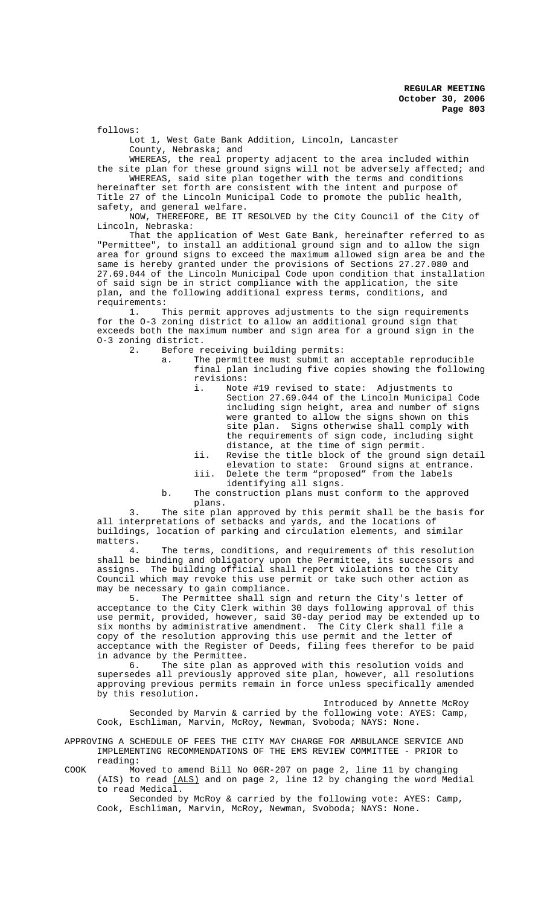follows:

Lot 1, West Gate Bank Addition, Lincoln, Lancaster County, Nebraska; and

WHEREAS, the real property adjacent to the area included within

the site plan for these ground signs will not be adversely affected; and WHEREAS, said site plan together with the terms and conditions hereinafter set forth are consistent with the intent and purpose of Title 27 of the Lincoln Municipal Code to promote the public health, safety, and general welfare.

NOW, THEREFORE, BE IT RESOLVED by the City Council of the City of Lincoln, Nebraska:

That the application of West Gate Bank, hereinafter referred to as "Permittee", to install an additional ground sign and to allow the sign area for ground signs to exceed the maximum allowed sign area be and the same is hereby granted under the provisions of Sections 27.27.080 and 27.69.044 of the Lincoln Municipal Code upon condition that installation of said sign be in strict compliance with the application, the site plan, and the following additional express terms, conditions, and requirements:

1. This permit approves adjustments to the sign requirements for the O-3 zoning district to allow an additional ground sign that exceeds both the maximum number and sign area for a ground sign in the O-3 zoning district.<br>2. Before r

Before receiving building permits:

a. The permittee must submit an acceptable reproducible final plan including five copies showing the following revisions:<br>i. Note

Note #19 revised to state: Adjustments to Section 27.69.044 of the Lincoln Municipal Code including sign height, area and number of signs were granted to allow the signs shown on this site plan. Signs otherwise shall comply with the requirements of sign code, including sight distance, at the time of sign permit.

- ii. Revise the title block of the ground sign detail elevation to state: Ground signs at entrance.
- iii. Delete the term "proposed" from the labels identifying all signs.
- b. The construction plans must conform to the approved plans.

3. The site plan approved by this permit shall be the basis for all interpretations of setbacks and yards, and the locations of buildings, location of parking and circulation elements, and similar matters.

4. The terms, conditions, and requirements of this resolution shall be binding and obligatory upon the Permittee, its successors and assigns. The building official shall report violations to the City Council which may revoke this use permit or take such other action as may be necessary to gain compliance.<br>5. The Permittee shall sign

The Permittee shall sign and return the City's letter of acceptance to the City Clerk within 30 days following approval of this use permit, provided, however, said 30-day period may be extended up to six months by administrative amendment. The City Clerk shall file a copy of the resolution approving this use permit and the letter of acceptance with the Register of Deeds, filing fees therefor to be paid in advance by the Permittee.

6. The site plan as approved with this resolution voids and supersedes all previously approved site plan, however, all resolutions approving previous permits remain in force unless specifically amended by this resolution.

Introduced by Annette McRoy Seconded by Marvin & carried by the following vote: AYES: Camp, Cook, Eschliman, Marvin, McRoy, Newman, Svoboda; NAYS: None.

APPROVING A SCHEDULE OF FEES THE CITY MAY CHARGE FOR AMBULANCE SERVICE AND IMPLEMENTING RECOMMENDATIONS OF THE EMS REVIEW COMMITTEE - PRIOR to reading:

COOK Moved to amend Bill No 06R-207 on page 2, line 11 by changing (AIS) to read (ALS) and on page 2, line 12 by changing the word Medial to read Medical.

Seconded by McRoy & carried by the following vote: AYES: Camp, Cook, Eschliman, Marvin, McRoy, Newman, Svoboda; NAYS: None.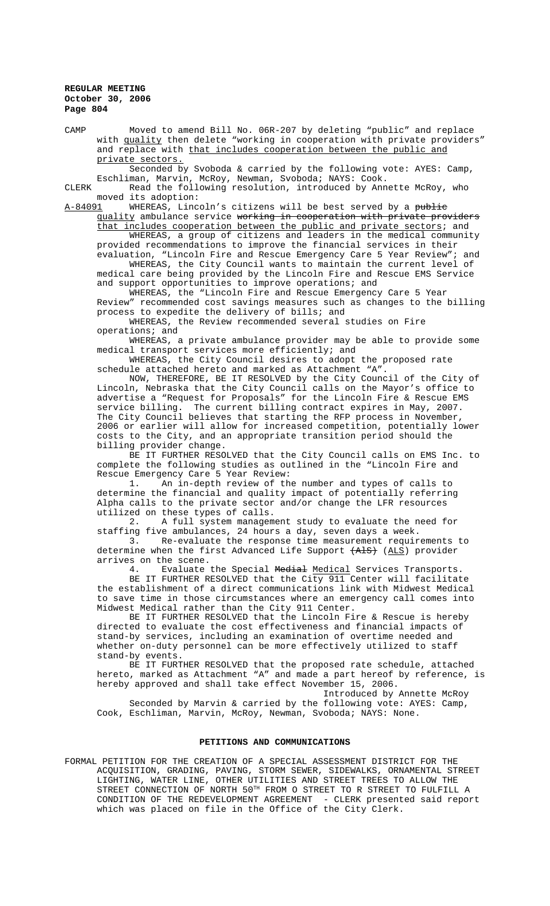CAMP Moved to amend Bill No. 06R-207 by deleting "public" and replace with quality then delete "working in cooperation with private providers" and replace with that includes cooperation between the public and private sectors.

Seconded by Svoboda & carried by the following vote: AYES: Camp, Eschliman, Marvin, McRoy, Newman, Svoboda; NAYS: Cook.

CLERK Read the following resolution, introduced by Annette McRoy, who moved its adoption:<br>A-84091 WHEREAS, Linc

WHEREAS, Lincoln's citizens will be best served by a public quality ambulance service working in cooperation with private providers

that includes cooperation between the public and private sectors; and WHEREAS, a group of citizens and leaders in the medical community provided recommendations to improve the financial services in their evaluation, "Lincoln Fire and Rescue Emergency Care 5 Year Review"; and WHEREAS, the City Council wants to maintain the current level of medical care being provided by the Lincoln Fire and Rescue EMS Service

and support opportunities to improve operations; and

WHEREAS, the "Lincoln Fire and Rescue Emergency Care 5 Year Review" recommended cost savings measures such as changes to the billing process to expedite the delivery of bills; and

WHEREAS, the Review recommended several studies on Fire operations; and

WHEREAS, a private ambulance provider may be able to provide some medical transport services more efficiently; and

WHEREAS, the City Council desires to adopt the proposed rate schedule attached hereto and marked as Attachment "A".

NOW, THEREFORE, BE IT RESOLVED by the City Council of the City of Lincoln, Nebraska that the City Council calls on the Mayor's office to advertise a "Request for Proposals" for the Lincoln Fire & Rescue EMS service billing. The current billing contract expires in May, 2007. The City Council believes that starting the RFP process in November, 2006 or earlier will allow for increased competition, potentially lower costs to the City, and an appropriate transition period should the billing provider change.

BE IT FURTHER RESOLVED that the City Council calls on EMS Inc. to complete the following studies as outlined in the "Lincoln Fire and Rescue Emergency Care 5 Year Review:

1. An in-depth review of the number and types of calls to determine the financial and quality impact of potentially referring Alpha calls to the private sector and/or change the LFR resources utilized on these types of calls.

2. A full system management study to evaluate the need for staffing five ambulances, 24 hours a day, seven days a week.

3. Re-evaluate the response time measurement requirements to determine when the first Advanced Life Support (AlS) (ALS) provider arrives on the scene.<br>4. Evaluate

Evaluate the Special Medial Medical Services Transports. BE IT FURTHER RESOLVED that the City 911 Center will facilitate the establishment of a direct communications link with Midwest Medical to save time in those circumstances where an emergency call comes into Midwest Medical rather than the City 911 Center.

BE IT FURTHER RESOLVED that the Lincoln Fire & Rescue is hereby directed to evaluate the cost effectiveness and financial impacts of stand-by services, including an examination of overtime needed and whether on-duty personnel can be more effectively utilized to staff stand-by events.

BE IT FURTHER RESOLVED that the proposed rate schedule, attached hereto, marked as Attachment "A" and made a part hereof by reference, is hereby approved and shall take effect November 15, 2006.

Introduced by Annette McRoy Seconded by Marvin & carried by the following vote: AYES: Camp, Cook, Eschliman, Marvin, McRoy, Newman, Svoboda; NAYS: None.

#### **PETITIONS AND COMMUNICATIONS**

FORMAL PETITION FOR THE CREATION OF A SPECIAL ASSESSMENT DISTRICT FOR THE ACQUISITION, GRADING, PAVING, STORM SEWER, SIDEWALKS, ORNAMENTAL STREET LIGHTING, WATER LINE, OTHER UTILITIES AND STREET TREES TO ALLOW THE STREET CONNECTION OF NORTH  $50^{\texttt{TH}}$  FROM O STREET TO R STREET TO FULFILL A CONDITION OF THE REDEVELOPMENT AGREEMENT - CLERK presented said report which was placed on file in the Office of the City Clerk.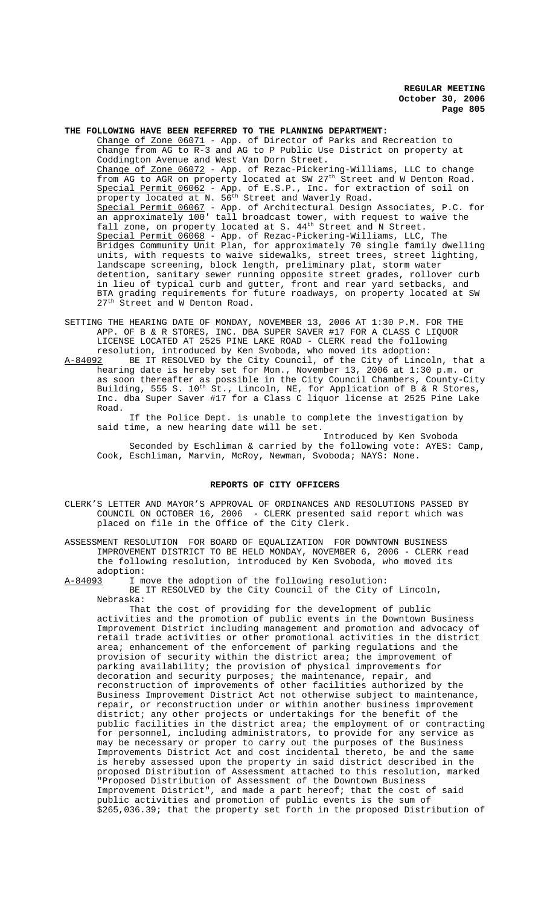# **THE FOLLOWING HAVE BEEN REFERRED TO THE PLANNING DEPARTMENT:**

Change of Zone 06071 - App. of Director of Parks and Recreation to change from AG to R-3 and AG to P Public Use District on property at Coddington Avenue and West Van Dorn Street. Change of Zone 06072 - App. of Rezac-Pickering-Williams, LLC to change from AG to AGR on property located at SW 27th Street and W Denton Road. Special Permit 06062 - App. of E.S.P., Inc. for extraction of soil on property located at N. 56<sup>th</sup> Street and Waverly Road. Special Permit 06067 - App. of Architectural Design Associates, P.C. for an approximately 100' tall broadcast tower, with request to waive the fall zone, on property located at S. 44<sup>th</sup> Street and N Street. Special Permit 06068 - App. of Rezac-Pickering-Williams, LLC, The Bridges Community Unit Plan, for approximately 70 single family dwelling units, with requests to waive sidewalks, street trees, street lighting, landscape screening, block length, preliminary plat, storm water detention, sanitary sewer running opposite street grades, rollover curb in lieu of typical curb and gutter, front and rear yard setbacks, and BTA grading requirements for future roadways, on property located at SW 27<sup>th</sup> Street and W Denton Road.

- SETTING THE HEARING DATE OF MONDAY, NOVEMBER 13, 2006 AT 1:30 P.M. FOR THE APP. OF B & R STORES, INC. DBA SUPER SAVER #17 FOR A CLASS C LIQUOR LICENSE LOCATED AT 2525 PINE LAKE ROAD - CLERK read the following resolution, introduced by Ken Svoboda, who moved its adoption:
- A-84092 BE IT RESOLVED by the City Council, of the City of Lincoln, that a hearing date is hereby set for Mon., November 13, 2006 at 1:30 p.m. or as soon thereafter as possible in the City Council Chambers, County-City Building, 555 S.  $10^{th}$  St., Lincoln, NE, for Application of B & R Stores, Inc. dba Super Saver #17 for a Class C liquor license at 2525 Pine Lake Road.

If the Police Dept. is unable to complete the investigation by said time, a new hearing date will be set.

Introduced by Ken Svoboda Seconded by Eschliman & carried by the following vote: AYES: Camp, Cook, Eschliman, Marvin, McRoy, Newman, Svoboda; NAYS: None.

#### **REPORTS OF CITY OFFICERS**

- CLERK'S LETTER AND MAYOR'S APPROVAL OF ORDINANCES AND RESOLUTIONS PASSED BY COUNCIL ON OCTOBER 16, 2006 - CLERK presented said report which was placed on file in the Office of the City Clerk.
- ASSESSMENT RESOLUTION FOR BOARD OF EQUALIZATION FOR DOWNTOWN BUSINESS IMPROVEMENT DISTRICT TO BE HELD MONDAY, NOVEMBER 6, 2006 - CLERK read the following resolution, introduced by Ken Svoboda, who moved its adoption:

A-84093 I move the adoption of the following resolution:

BE IT RESOLVED by the City Council of the City of Lincoln, Nebraska:

That the cost of providing for the development of public activities and the promotion of public events in the Downtown Business Improvement District including management and promotion and advocacy of retail trade activities or other promotional activities in the district area; enhancement of the enforcement of parking regulations and the provision of security within the district area; the improvement of parking availability; the provision of physical improvements for decoration and security purposes; the maintenance, repair, and reconstruction of improvements of other facilities authorized by the Business Improvement District Act not otherwise subject to maintenance, repair, or reconstruction under or within another business improvement district; any other projects or undertakings for the benefit of the public facilities in the district area; the employment of or contracting for personnel, including administrators, to provide for any service as may be necessary or proper to carry out the purposes of the Business Improvements District Act and cost incidental thereto, be and the same is hereby assessed upon the property in said district described in the proposed Distribution of Assessment attached to this resolution, marked "Proposed Distribution of Assessment of the Downtown Business Improvement District", and made a part hereof; that the cost of said public activities and promotion of public events is the sum of \$265,036.39; that the property set forth in the proposed Distribution of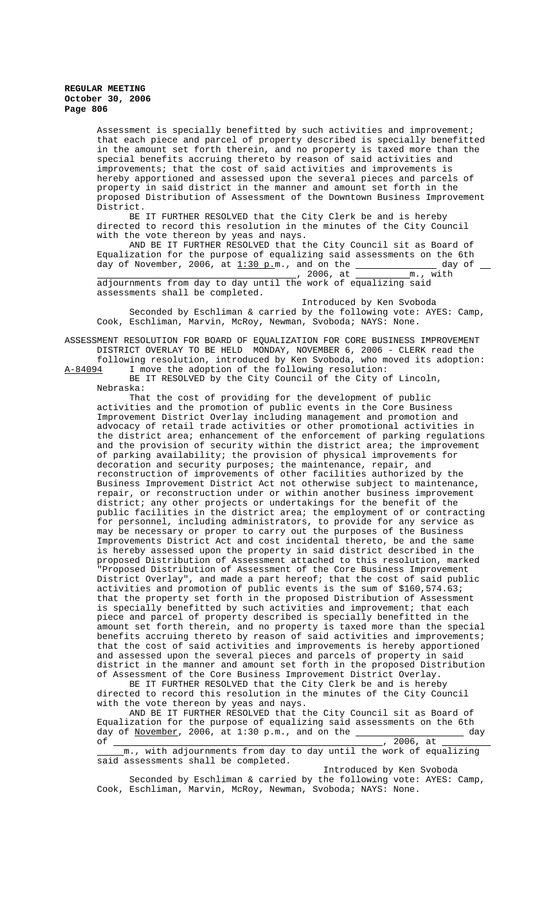Assessment is specially benefitted by such activities and improvement; that each piece and parcel of property described is specially benefitted in the amount set forth therein, and no property is taxed more than the special benefits accruing thereto by reason of said activities and improvements; that the cost of said activities and improvements is hereby apportioned and assessed upon the several pieces and parcels of property in said district in the manner and amount set forth in the proposed Distribution of Assessment of the Downtown Business Improvement District.

BE IT FURTHER RESOLVED that the City Clerk be and is hereby directed to record this resolution in the minutes of the City Council with the vote thereon by yeas and nays.

AND BE IT FURTHER RESOLVED that the City Council sit as Board of Equalization for the purpose of equalizing said assessments on the 6th day of November, 2006, at  $\underline{1:30}$  p.m., and on the  $\underline{\hspace{1cm}}$  \_\_\_\_\_\_\_\_\_\_\_\_\_\_\_\_\_\_ day of , 2006, at m., with adjournments from day to day until the work of equalizing said assessments shall be completed.

 Introduced by Ken Svoboda Seconded by Eschliman & carried by the following vote: AYES: Camp, Cook, Eschliman, Marvin, McRoy, Newman, Svoboda; NAYS: None.

ASSESSMENT RESOLUTION FOR BOARD OF EQUALIZATION FOR CORE BUSINESS IMPROVEMENT DISTRICT OVERLAY TO BE HELD MONDAY, NOVEMBER 6, 2006 - CLERK read the

following resolution, introduced by Ken Svoboda, who moved its adoption: A-84094 I move the adoption of the following resolution:

BE IT RESOLVED by the City Council of the City of Lincoln, Nebraska:

That the cost of providing for the development of public activities and the promotion of public events in the Core Business Improvement District Overlay including management and promotion and advocacy of retail trade activities or other promotional activities in the district area; enhancement of the enforcement of parking regulations and the provision of security within the district area; the improvement of parking availability; the provision of physical improvements for decoration and security purposes; the maintenance, repair, and reconstruction of improvements of other facilities authorized by the Business Improvement District Act not otherwise subject to maintenance, repair, or reconstruction under or within another business improvement district; any other projects or undertakings for the benefit of the public facilities in the district area; the employment of or contracting for personnel, including administrators, to provide for any service as may be necessary or proper to carry out the purposes of the Business Improvements District Act and cost incidental thereto, be and the same is hereby assessed upon the property in said district described in the proposed Distribution of Assessment attached to this resolution, marked "Proposed Distribution of Assessment of the Core Business Improvement District Overlay", and made a part hereof; that the cost of said public activities and promotion of public events is the sum of \$160,574.63; that the property set forth in the proposed Distribution of Assessment is specially benefitted by such activities and improvement; that each piece and parcel of property described is specially benefitted in the amount set forth therein, and no property is taxed more than the special benefits accruing thereto by reason of said activities and improvements; that the cost of said activities and improvements is hereby apportioned and assessed upon the several pieces and parcels of property in said district in the manner and amount set forth in the proposed Distribution of Assessment of the Core Business Improvement District Overlay.

BE IT FURTHER RESOLVED that the City Clerk be and is hereby directed to record this resolution in the minutes of the City Council with the vote thereon by yeas and nays.

AND BE IT FURTHER RESOLVED that the City Council sit as Board of Equalization for the purpose of equalizing said assessments on the 6th day of November, 2006, at 1:30 p.m., and on the  $\overline{\phantom{a}}$ of , 2006, at

 m., with adjournments from day to day until the work of equalizing said assessments shall be completed.

Introduced by Ken Svoboda Seconded by Eschliman & carried by the following vote: AYES: Camp, Cook, Eschliman, Marvin, McRoy, Newman, Svoboda; NAYS: None.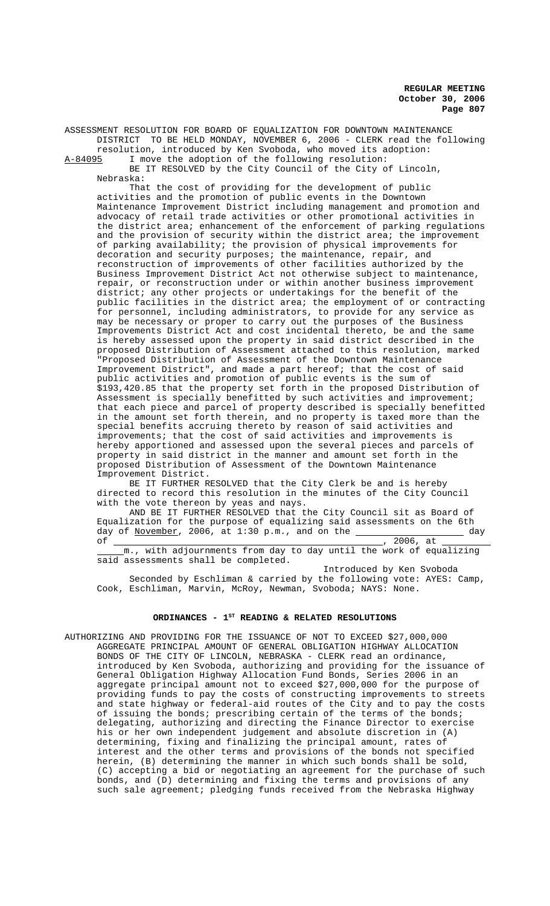ASSESSMENT RESOLUTION FOR BOARD OF EQUALIZATION FOR DOWNTOWN MAINTENANCE DISTRICT TO BE HELD MONDAY, NOVEMBER 6, 2006 - CLERK read the following resolution, introduced by Ken Svoboda, who moved its adoption:<br>A-84095 I move the adoption of the following resolution:

I move the adoption of the following resolution:

BE IT RESOLVED by the City Council of the City of Lincoln, Nebraska:

That the cost of providing for the development of public activities and the promotion of public events in the Downtown Maintenance Improvement District including management and promotion and advocacy of retail trade activities or other promotional activities in the district area; enhancement of the enforcement of parking regulations and the provision of security within the district area; the improvement of parking availability; the provision of physical improvements for decoration and security purposes; the maintenance, repair, and reconstruction of improvements of other facilities authorized by the Business Improvement District Act not otherwise subject to maintenance, repair, or reconstruction under or within another business improvement district; any other projects or undertakings for the benefit of the public facilities in the district area; the employment of or contracting for personnel, including administrators, to provide for any service as may be necessary or proper to carry out the purposes of the Business Improvements District Act and cost incidental thereto, be and the same is hereby assessed upon the property in said district described in the proposed Distribution of Assessment attached to this resolution, marked "Proposed Distribution of Assessment of the Downtown Maintenance Improvement District", and made a part hereof; that the cost of said public activities and promotion of public events is the sum of \$193,420.85 that the property set forth in the proposed Distribution of Assessment is specially benefitted by such activities and improvement; that each piece and parcel of property described is specially benefitted in the amount set forth therein, and no property is taxed more than the special benefits accruing thereto by reason of said activities and improvements; that the cost of said activities and improvements is hereby apportioned and assessed upon the several pieces and parcels of property in said district in the manner and amount set forth in the proposed Distribution of Assessment of the Downtown Maintenance Improvement District.

BE IT FURTHER RESOLVED that the City Clerk be and is hereby directed to record this resolution in the minutes of the City Council with the vote thereon by yeas and nays.

AND BE IT FURTHER RESOLVED that the City Council sit as Board of Equalization for the purpose of equalizing said assessments on the 6th day of November, 2006, at 1:30 p.m., and on the day  $, 2006, at$ 

 m., with adjournments from day to day until the work of equalizing said assessments shall be completed.

 Introduced by Ken Svoboda Seconded by Eschliman & carried by the following vote: AYES: Camp, Cook, Eschliman, Marvin, McRoy, Newman, Svoboda; NAYS: None.

# ORDINANCES - 1<sup>st</sup> READING & RELATED RESOLUTIONS

AUTHORIZING AND PROVIDING FOR THE ISSUANCE OF NOT TO EXCEED \$27,000,000 AGGREGATE PRINCIPAL AMOUNT OF GENERAL OBLIGATION HIGHWAY ALLOCATION BONDS OF THE CITY OF LINCOLN, NEBRASKA - CLERK read an ordinance, introduced by Ken Svoboda, authorizing and providing for the issuance of General Obligation Highway Allocation Fund Bonds, Series 2006 in an aggregate principal amount not to exceed \$27,000,000 for the purpose of providing funds to pay the costs of constructing improvements to streets and state highway or federal-aid routes of the City and to pay the costs of issuing the bonds; prescribing certain of the terms of the bonds; delegating, authorizing and directing the Finance Director to exercise his or her own independent judgement and absolute discretion in (A) determining, fixing and finalizing the principal amount, rates of interest and the other terms and provisions of the bonds not specified herein, (B) determining the manner in which such bonds shall be sold, (C) accepting a bid or negotiating an agreement for the purchase of such bonds, and (D) determining and fixing the terms and provisions of any such sale agreement; pledging funds received from the Nebraska Highway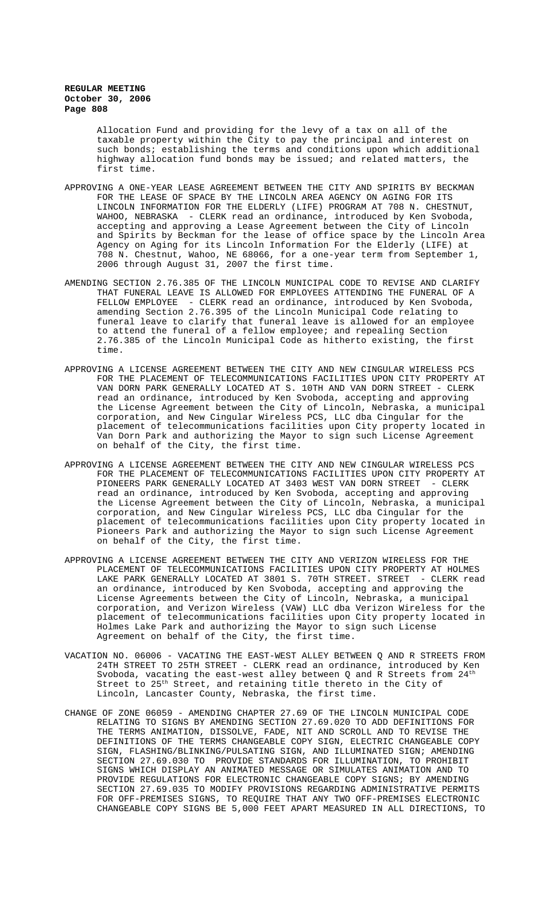Allocation Fund and providing for the levy of a tax on all of the taxable property within the City to pay the principal and interest on such bonds; establishing the terms and conditions upon which additional highway allocation fund bonds may be issued; and related matters, the first time.

- APPROVING A ONE-YEAR LEASE AGREEMENT BETWEEN THE CITY AND SPIRITS BY BECKMAN FOR THE LEASE OF SPACE BY THE LINCOLN AREA AGENCY ON AGING FOR ITS LINCOLN INFORMATION FOR THE ELDERLY (LIFE) PROGRAM AT 708 N. CHESTNUT, WAHOO, NEBRASKA - CLERK read an ordinance, introduced by Ken Svoboda, accepting and approving a Lease Agreement between the City of Lincoln and Spirits by Beckman for the lease of office space by the Lincoln Area Agency on Aging for its Lincoln Information For the Elderly (LIFE) at 708 N. Chestnut, Wahoo, NE 68066, for a one-year term from September 1, 2006 through August 31, 2007 the first time.
- AMENDING SECTION 2.76.385 OF THE LINCOLN MUNICIPAL CODE TO REVISE AND CLARIFY THAT FUNERAL LEAVE IS ALLOWED FOR EMPLOYEES ATTENDING THE FUNERAL OF A FELLOW EMPLOYEE - CLERK read an ordinance, introduced by Ken Svoboda, amending Section 2.76.395 of the Lincoln Municipal Code relating to funeral leave to clarify that funeral leave is allowed for an employee to attend the funeral of a fellow employee; and repealing Section 2.76.385 of the Lincoln Municipal Code as hitherto existing, the first time.
- APPROVING A LICENSE AGREEMENT BETWEEN THE CITY AND NEW CINGULAR WIRELESS PCS FOR THE PLACEMENT OF TELECOMMUNICATIONS FACILITIES UPON CITY PROPERTY AT VAN DORN PARK GENERALLY LOCATED AT S. 10TH AND VAN DORN STREET - CLERK read an ordinance, introduced by Ken Svoboda, accepting and approving the License Agreement between the City of Lincoln, Nebraska, a municipal corporation, and New Cingular Wireless PCS, LLC dba Cingular for the placement of telecommunications facilities upon City property located in Van Dorn Park and authorizing the Mayor to sign such License Agreement on behalf of the City, the first time.
- APPROVING A LICENSE AGREEMENT BETWEEN THE CITY AND NEW CINGULAR WIRELESS PCS FOR THE PLACEMENT OF TELECOMMUNICATIONS FACILITIES UPON CITY PROPERTY AT PIONEERS PARK GENERALLY LOCATED AT 3403 WEST VAN DORN STREET - CLERK read an ordinance, introduced by Ken Svoboda, accepting and approving the License Agreement between the City of Lincoln, Nebraska, a municipal corporation, and New Cingular Wireless PCS, LLC dba Cingular for the placement of telecommunications facilities upon City property located in Pioneers Park and authorizing the Mayor to sign such License Agreement on behalf of the City, the first time.
- APPROVING A LICENSE AGREEMENT BETWEEN THE CITY AND VERIZON WIRELESS FOR THE PLACEMENT OF TELECOMMUNICATIONS FACILITIES UPON CITY PROPERTY AT HOLMES LAKE PARK GENERALLY LOCATED AT 3801 S. 70TH STREET. STREET - CLERK read an ordinance, introduced by Ken Svoboda, accepting and approving the License Agreements between the City of Lincoln, Nebraska, a municipal corporation, and Verizon Wireless (VAW) LLC dba Verizon Wireless for the placement of telecommunications facilities upon City property located in Holmes Lake Park and authorizing the Mayor to sign such License Agreement on behalf of the City, the first time.
- VACATION NO. 06006 VACATING THE EAST-WEST ALLEY BETWEEN Q AND R STREETS FROM 24TH STREET TO 25TH STREET - CLERK read an ordinance, introduced by Ken Svoboda, vacating the east-west alley between Q and R Streets from  $24^{\rm th}$ Street to 25<sup>th</sup> Street, and retaining title thereto in the City of Lincoln, Lancaster County, Nebraska, the first time.
- CHANGE OF ZONE 06059 AMENDING CHAPTER 27.69 OF THE LINCOLN MUNICIPAL CODE RELATING TO SIGNS BY AMENDING SECTION 27.69.020 TO ADD DEFINITIONS FOR THE TERMS ANIMATION, DISSOLVE, FADE, NIT AND SCROLL AND TO REVISE THE DEFINITIONS OF THE TERMS CHANGEABLE COPY SIGN, ELECTRIC CHANGEABLE COPY SIGN, FLASHING/BLINKING/PULSATING SIGN, AND ILLUMINATED SIGN; AMENDING SECTION 27.69.030 TO PROVIDE STANDARDS FOR ILLUMINATION, TO PROHIBIT SIGNS WHICH DISPLAY AN ANIMATED MESSAGE OR SIMULATES ANIMATION AND TO PROVIDE REGULATIONS FOR ELECTRONIC CHANGEABLE COPY SIGNS; BY AMENDING SECTION 27.69.035 TO MODIFY PROVISIONS REGARDING ADMINISTRATIVE PERMITS FOR OFF-PREMISES SIGNS, TO REQUIRE THAT ANY TWO OFF-PREMISES ELECTRONIC CHANGEABLE COPY SIGNS BE 5,000 FEET APART MEASURED IN ALL DIRECTIONS, TO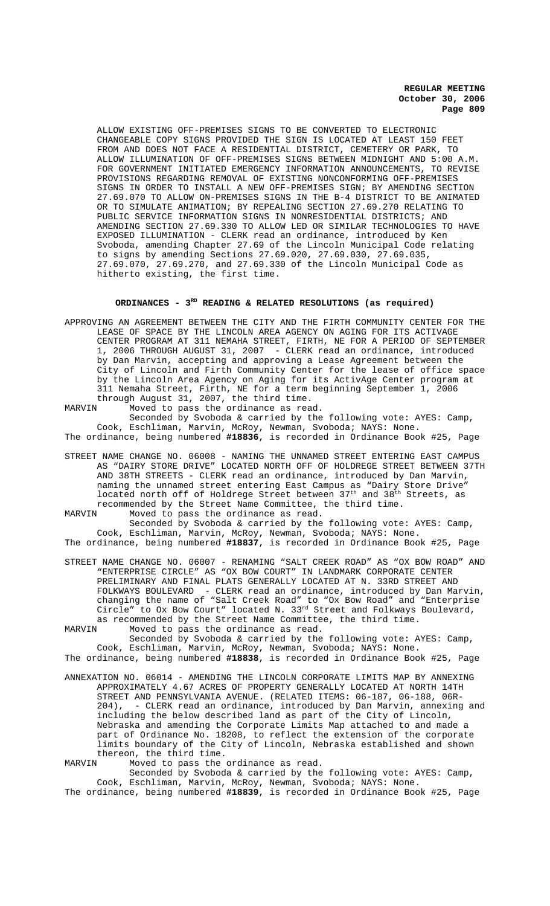ALLOW EXISTING OFF-PREMISES SIGNS TO BE CONVERTED TO ELECTRONIC CHANGEABLE COPY SIGNS PROVIDED THE SIGN IS LOCATED AT LEAST 150 FEET FROM AND DOES NOT FACE A RESIDENTIAL DISTRICT, CEMETERY OR PARK, TO ALLOW ILLUMINATION OF OFF-PREMISES SIGNS BETWEEN MIDNIGHT AND 5:00 A.M. FOR GOVERNMENT INITIATED EMERGENCY INFORMATION ANNOUNCEMENTS, TO REVISE PROVISIONS REGARDING REMOVAL OF EXISTING NONCONFORMING OFF-PREMISES SIGNS IN ORDER TO INSTALL A NEW OFF-PREMISES SIGN; BY AMENDING SECTION 27.69.070 TO ALLOW ON-PREMISES SIGNS IN THE B-4 DISTRICT TO BE ANIMATED OR TO SIMULATE ANIMATION; BY REPEALING SECTION 27.69.270 RELATING TO PUBLIC SERVICE INFORMATION SIGNS IN NONRESIDENTIAL DISTRICTS; AND AMENDING SECTION 27.69.330 TO ALLOW LED OR SIMILAR TECHNOLOGIES TO HAVE EXPOSED ILLUMINATION - CLERK read an ordinance, introduced by Ken Svoboda, amending Chapter 27.69 of the Lincoln Municipal Code relating to signs by amending Sections 27.69.020, 27.69.030, 27.69.035, 27.69.070, 27.69.270, and 27.69.330 of the Lincoln Municipal Code as hitherto existing, the first time.

# ORDINANCES - 3<sup>RD</sup> READING & RELATED RESOLUTIONS (as required)

APPROVING AN AGREEMENT BETWEEN THE CITY AND THE FIRTH COMMUNITY CENTER FOR THE LEASE OF SPACE BY THE LINCOLN AREA AGENCY ON AGING FOR ITS ACTIVAGE CENTER PROGRAM AT 311 NEMAHA STREET, FIRTH, NE FOR A PERIOD OF SEPTEMBER 1, 2006 THROUGH AUGUST 31, 2007 - CLERK read an ordinance, introduced by Dan Marvin, accepting and approving a Lease Agreement between the City of Lincoln and Firth Community Center for the lease of office space by the Lincoln Area Agency on Aging for its ActivAge Center program at 311 Nemaha Street, Firth, NE for a term beginning September 1, 2006 through August 31, 2007, the third time.<br>MARVIN Moved to pass the ordinance as rea

Moved to pass the ordinance as read.

Seconded by Svoboda & carried by the following vote: AYES: Camp, Cook, Eschliman, Marvin, McRoy, Newman, Svoboda; NAYS: None. The ordinance, being numbered **#18836**, is recorded in Ordinance Book #25, Page

STREET NAME CHANGE NO. 06008 - NAMING THE UNNAMED STREET ENTERING EAST CAMPUS AS "DAIRY STORE DRIVE" LOCATED NORTH OFF OF HOLDREGE STREET BETWEEN 37TH AND 38TH STREETS - CLERK read an ordinance, introduced by Dan Marvin, naming the unnamed street entering East Campus as "Dairy Store Drive" located north off of Holdrege Street between  $37^{\text{th}}$  and  $38^{\text{th}}$  Streets, as recommended by the Street Name Committee, the third time.<br>MARVIN Moved to pass the ordinance as read. Moved to pass the ordinance as read.

Seconded by Svoboda & carried by the following vote: AYES: Camp, Cook, Eschliman, Marvin, McRoy, Newman, Svoboda; NAYS: None.

- The ordinance, being numbered **#18837**, is recorded in Ordinance Book #25, Page
- STREET NAME CHANGE NO. 06007 RENAMING "SALT CREEK ROAD" AS "OX BOW ROAD" AND "ENTERPRISE CIRCLE" AS "OX BOW COURT" IN LANDMARK CORPORATE CENTER PRELIMINARY AND FINAL PLATS GENERALLY LOCATED AT N. 33RD STREET AND FOLKWAYS BOULEVARD - CLERK read an ordinance, introduced by Dan Marvin, changing the name of "Salt Creek Road" to "Ox Bow Road" and "Enterprise Circle" to Ox Bow Court" located N.  $33^{rd}$  Street and Folkways Boulevard, as recommended by the Street Name Committee, the third time.<br>MARVIN Moved to pass the ordinance as read.

Moved to pass the ordinance as read.

Seconded by Svoboda & carried by the following vote: AYES: Camp, Cook, Eschliman, Marvin, McRoy, Newman, Svoboda; NAYS: None. The ordinance, being numbered **#18838**, is recorded in Ordinance Book #25, Page

ANNEXATION NO. 06014 - AMENDING THE LINCOLN CORPORATE LIMITS MAP BY ANNEXING APPROXIMATELY 4.67 ACRES OF PROPERTY GENERALLY LOCATED AT NORTH 14TH STREET AND PENNSYLVANIA AVENUE. (RELATED ITEMS: 06-187, 06-188, 06R-<br>204), - CLERK read an ordinance, introduced by Dan Marvin, annexing - CLERK read an ordinance, introduced by Dan Marvin, annexing and including the below described land as part of the City of Lincoln, Nebraska and amending the Corporate Limits Map attached to and made a part of Ordinance No. 18208, to reflect the extension of the corporate limits boundary of the City of Lincoln, Nebraska established and shown thereon, the third time.<br>MARVIN Moved to pass the

Moved to pass the ordinance as read.

Seconded by Svoboda & carried by the following vote: AYES: Camp, Cook, Eschliman, Marvin, McRoy, Newman, Svoboda; NAYS: None.

The ordinance, being numbered **#18839**, is recorded in Ordinance Book #25, Page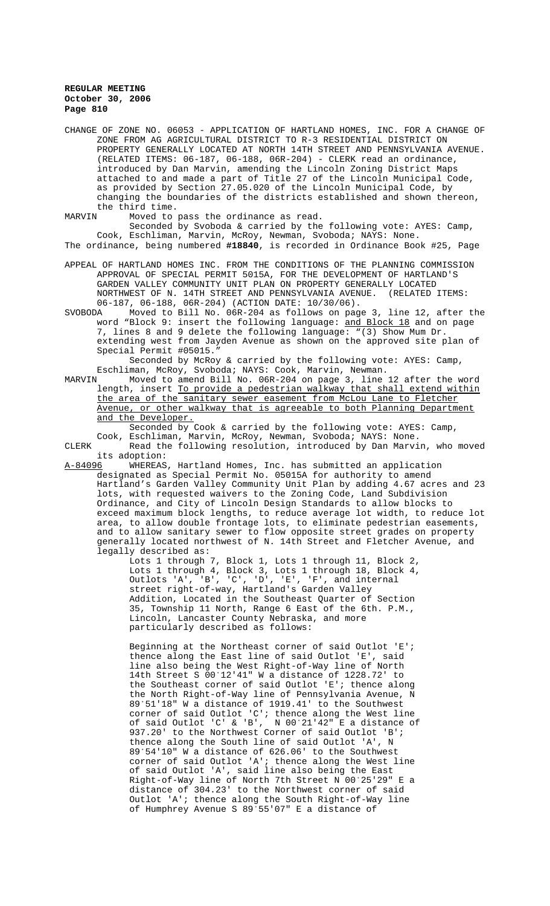CHANGE OF ZONE NO. 06053 - APPLICATION OF HARTLAND HOMES, INC. FOR A CHANGE OF ZONE FROM AG AGRICULTURAL DISTRICT TO R-3 RESIDENTIAL DISTRICT ON PROPERTY GENERALLY LOCATED AT NORTH 14TH STREET AND PENNSYLVANIA AVENUE. (RELATED ITEMS: 06-187, 06-188, 06R-204) - CLERK read an ordinance, introduced by Dan Marvin, amending the Lincoln Zoning District Maps attached to and made a part of Title 27 of the Lincoln Municipal Code, as provided by Section 27.05.020 of the Lincoln Municipal Code, by changing the boundaries of the districts established and shown thereon, the third time.<br>MARVIN Moved to

Moved to pass the ordinance as read.

Seconded by Svoboda & carried by the following vote: AYES: Camp, Cook, Eschliman, Marvin, McRoy, Newman, Svoboda; NAYS: None. The ordinance, being numbered **#18840**, is recorded in Ordinance Book #25, Page

- APPEAL OF HARTLAND HOMES INC. FROM THE CONDITIONS OF THE PLANNING COMMISSION APPROVAL OF SPECIAL PERMIT 5015A, FOR THE DEVELOPMENT OF HARTLAND'S GARDEN VALLEY COMMUNITY UNIT PLAN ON PROPERTY GENERALLY LOCATED NORTHWEST OF N. 14TH STREET AND PENNSYLVANIA AVENUE. (RELATED ITEMS: 06-187, 06-188, 06R-204) (ACTION DATE: 10/30/06).
- SVOBODA Moved to Bill No. 06R-204 as follows on page 3, line 12, after the word "Block 9: insert the following language: <u>and Block 18</u> and on page 7, lines 8 and 9 delete the following language: "(3) Show Mum Dr. extending west from Jayden Avenue as shown on the approved site plan of Special Permit #05015.

Seconded by McRoy & carried by the following vote: AYES: Camp, Eschliman, McRoy, Svoboda; NAYS: Cook, Marvin, Newman.

MARVIN Moved to amend Bill No. 06R-204 on page 3, line 12 after the word length, insert To provide a pedestrian walkway that shall extend within the area of the sanitary sewer easement from McLou Lane to Fletcher Avenue, or other walkway that is agreeable to both Planning Department and the Developer.

Seconded by Cook & carried by the following vote: AYES: Camp, Cook, Eschliman, Marvin, McRoy, Newman, Svoboda; NAYS: None.

CLERK Read the following resolution, introduced by Dan Marvin, who moved its adoption:<br>A-84096 WHEREAS

WHEREAS, Hartland Homes, Inc. has submitted an application designated as Special Permit No. 05015A for authority to amend Hartland's Garden Valley Community Unit Plan by adding 4.67 acres and 23 lots, with requested waivers to the Zoning Code, Land Subdivision Ordinance, and City of Lincoln Design Standards to allow blocks to exceed maximum block lengths, to reduce average lot width, to reduce lot area, to allow double frontage lots, to eliminate pedestrian easements, and to allow sanitary sewer to flow opposite street grades on property generally located northwest of N. 14th Street and Fletcher Avenue, and legally described as:

Lots 1 through 7, Block 1, Lots 1 through 11, Block 2, Lots 1 through 4, Block 3, Lots 1 through 18, Block 4, Outlots 'A', 'B', 'C', 'D', 'E', 'F', and internal street right-of-way, Hartland's Garden Valley Addition, Located in the Southeast Quarter of Section 35, Township 11 North, Range 6 East of the 6th. P.M., Lincoln, Lancaster County Nebraska, and more particularly described as follows:

Beginning at the Northeast corner of said Outlot 'E'; thence along the East line of said Outlot 'E', said line also being the West Right-of-Way line of North 14th Street S 00°12'41" W a distance of 1228.72' to the Southeast corner of said Outlot 'E'; thence along the North Right-of-Way line of Pennsylvania Avenue, N 89/51'18" W a distance of 1919.41' to the Southwest corner of said Outlot 'C'; thence along the West line of said Outlot 'C' & 'B', N 00°21'42" E a distance of 937.20' to the Northwest Corner of said Outlot 'B'; thence along the South line of said Outlot 'A', N 89/54'10" W a distance of 626.06' to the Southwest corner of said Outlot 'A'; thence along the West line of said Outlot 'A', said line also being the East Right-of-Way line of North 7th Street N 00/25'29" E a distance of 304.23' to the Northwest corner of said Outlot 'A'; thence along the South Right-of-Way line of Humphrey Avenue S 89/55'07" E a distance of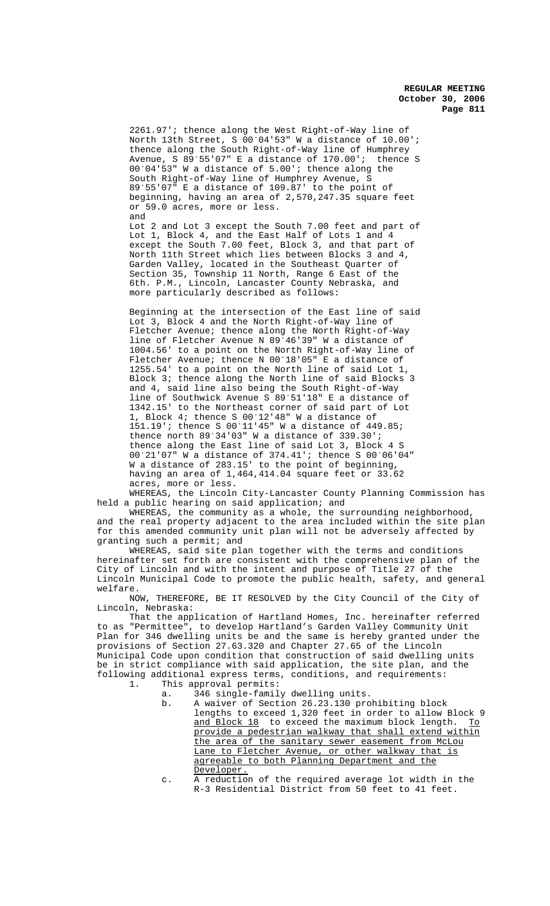2261.97'; thence along the West Right-of-Way line of North 13th Street, S 00/04'53" W a distance of 10.00'; thence along the South Right-of-Way line of Humphrey Avenue, S 89/55'07" E a distance of 170.00'; thence S 00/04'53" W a distance of 5.00'; thence along the South Right-of-Way line of Humphrey Avenue, S 89/55'07" E a distance of 109.87' to the point of beginning, having an area of 2,570,247.35 square feet or 59.0 acres, more or less. and

Lot 2 and Lot 3 except the South 7.00 feet and part of Lot 1, Block 4, and the East Half of Lots 1 and 4 except the South 7.00 feet, Block 3, and that part of North 11th Street which lies between Blocks 3 and 4, Garden Valley, located in the Southeast Quarter of Section 35, Township 11 North, Range 6 East of the 6th. P.M., Lincoln, Lancaster County Nebraska, and more particularly described as follows:

Beginning at the intersection of the East line of said Lot 3, Block 4 and the North Right-of-Way line of Fletcher Avenue; thence along the North Right-of-Way line of Fletcher Avenue N 89°46'39" W a distance of 1004.56' to a point on the North Right-of-Way line of Fletcher Avenue; thence N 00'18'05" E a distance of 1255.54' to a point on the North line of said Lot 1, Block 3; thence along the North line of said Blocks 3 and 4, said line also being the South Right-of-Way line of Southwick Avenue S 89'51'18" E a distance of 1342.15' to the Northeast corner of said part of Lot 1, Block 4; thence S 00°12'48" W a distance of 151.19'; thence S 00'11'45" W a distance of 449.85; thence north  $89^{\circ}34'03''$  W a distance of  $339.30'$ ; thence along the East line of said Lot 3, Block 4 S 00/21'07" W a distance of 374.41'; thence S 00/06'04" W a distance of 283.15' to the point of beginning, having an area of 1,464,414.04 square feet or 33.62 acres, more or less.

WHEREAS, the Lincoln City-Lancaster County Planning Commission has held a public hearing on said application; and

WHEREAS, the community as a whole, the surrounding neighborhood, and the real property adjacent to the area included within the site plan for this amended community unit plan will not be adversely affected by granting such a permit; and

WHEREAS, said site plan together with the terms and conditions hereinafter set forth are consistent with the comprehensive plan of the City of Lincoln and with the intent and purpose of Title 27 of the Lincoln Municipal Code to promote the public health, safety, and general welfare.

NOW, THEREFORE, BE IT RESOLVED by the City Council of the City of Lincoln, Nebraska:

That the application of Hartland Homes, Inc. hereinafter referred to as "Permittee", to develop Hartland's Garden Valley Community Unit Plan for 346 dwelling units be and the same is hereby granted under the provisions of Section 27.63.320 and Chapter 27.65 of the Lincoln Municipal Code upon condition that construction of said dwelling units be in strict compliance with said application, the site plan, and the following additional express terms, conditions, and requirements:<br>1. This approval permits: This approval permits:

- a. 346 single-family dwelling units.
	- b. A waiver of Section 26.23.130 prohibiting block lengths to exceed 1,320 feet in order to allow Block 9 and Block 18 to exceed the maximum block length. To provide a pedestrian walkway that shall extend within the area of the sanitary sewer easement from McLou Lane to Fletcher Avenue, or other walkway that is agreeable to both Planning Department and the Developer.
	- c. A reduction of the required average lot width in the R-3 Residential District from 50 feet to 41 feet.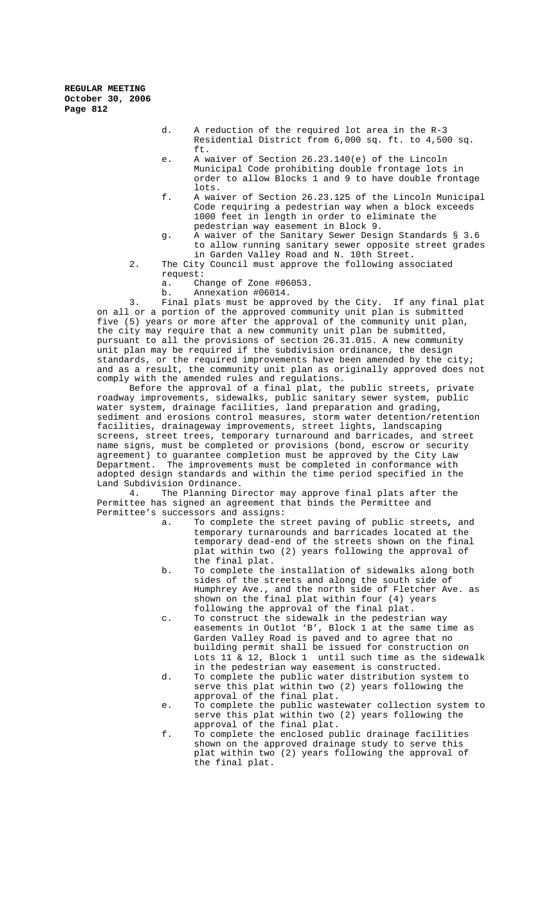- d. A reduction of the required lot area in the R-3 Residential District from 6,000 sq. ft. to 4,500 sq. ft.
- e. A waiver of Section 26.23.140(e) of the Lincoln Municipal Code prohibiting double frontage lots in order to allow Blocks 1 and 9 to have double frontage lots.
- f. A waiver of Section 26.23.125 of the Lincoln Municipal Code requiring a pedestrian way when a block exceeds 1000 feet in length in order to eliminate the pedestrian way easement in Block 9.
- g. A waiver of the Sanitary Sewer Design Standards § 3.6 to allow running sanitary sewer opposite street grades in Garden Valley Road and N. 10th Street.
- 2. The City Council must approve the following associated request:
	- a. Change of Zone #06053.
	- b. Annexation #06014.

3. Final plats must be approved by the City. If any final plat on all or a portion of the approved community unit plan is submitted five (5) years or more after the approval of the community unit plan, the city may require that a new community unit plan be submitted, pursuant to all the provisions of section 26.31.015. A new community unit plan may be required if the subdivision ordinance, the design standards, or the required improvements have been amended by the city; and as a result, the community unit plan as originally approved does not comply with the amended rules and regulations.

Before the approval of a final plat, the public streets, private roadway improvements, sidewalks, public sanitary sewer system, public water system, drainage facilities, land preparation and grading, sediment and erosions control measures, storm water detention/retention facilities, drainageway improvements, street lights, landscaping screens, street trees, temporary turnaround and barricades, and street name signs, must be completed or provisions (bond, escrow or security agreement) to guarantee completion must be approved by the City Law Department. The improvements must be completed in conformance with adopted design standards and within the time period specified in the Land Subdivision Ordinance.

4. The Planning Director may approve final plats after the Permittee has signed an agreement that binds the Permittee and Permittee's successors and assigns:

- a. To complete the street paving of public streets*,* and temporary turnarounds and barricades located at the temporary dead-end of the streets shown on the final plat within two (2) years following the approval of the final plat.
- b. To complete the installation of sidewalks along both sides of the streets and along the south side of Humphrey Ave., and the north side of Fletcher Ave. as shown on the final plat within four (4) years following the approval of the final plat.
- c. To construct the sidewalk in the pedestrian way easements in Outlot 'B', Block 1 at the same time as Garden Valley Road is paved and to agree that no building permit shall be issued for construction on Lots 11 & 12, Block 1until such time as the sidewalk in the pedestrian way easement is constructed.
- d. To complete the public water distribution system to serve this plat within two (2) years following the approval of the final plat.
- e. To complete the public wastewater collection system to serve this plat within two (2) years following the approval of the final plat.
- f. To complete the enclosed public drainage facilities shown on the approved drainage study to serve this plat within two (2) years following the approval of the final plat.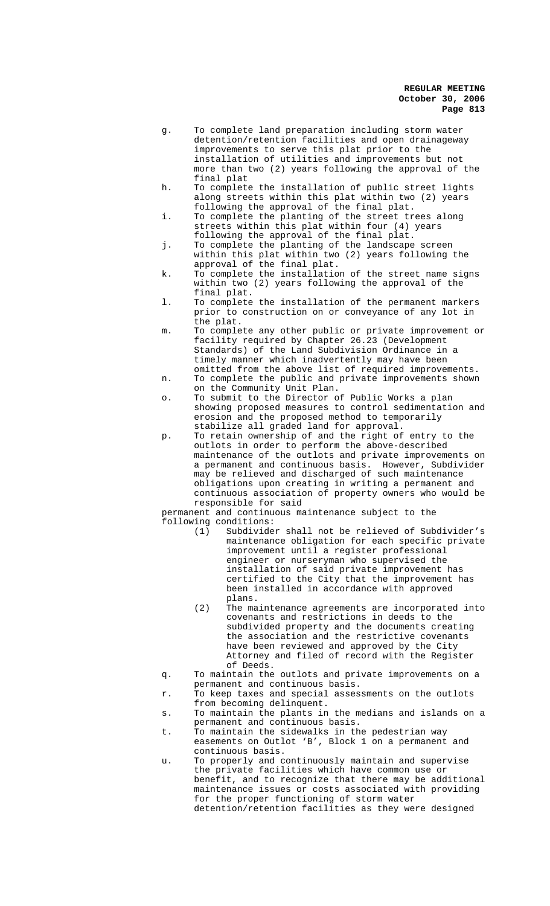- g. To complete land preparation including storm water detention/retention facilities and open drainageway improvements to serve this plat prior to the installation of utilities and improvements but not more than two (2) years following the approval of the final plat
- h. To complete the installation of public street lights along streets within this plat within two (2) years following the approval of the final plat.
- i. To complete the planting of the street trees along streets within this plat within four (4) years following the approval of the final plat.
- j. To complete the planting of the landscape screen within this plat within two (2) years following the approval of the final plat.
- k. To complete the installation of the street name signs within two (2) years following the approval of the final plat.
- l. To complete the installation of the permanent markers prior to construction on or conveyance of any lot in the plat.
- m. To complete any other public or private improvement or facility required by Chapter 26.23 (Development Standards) of the Land Subdivision Ordinance in a timely manner which inadvertently may have been omitted from the above list of required improvements.
- n. To complete the public and private improvements shown on the Community Unit Plan.
- o. To submit to the Director of Public Works a plan showing proposed measures to control sedimentation and erosion and the proposed method to temporarily stabilize all graded land for approval.
- p. To retain ownership of and the right of entry to the outlots in order to perform the above-described maintenance of the outlots and private improvements on a permanent and continuous basis. However, Subdivider may be relieved and discharged of such maintenance obligations upon creating in writing a permanent and continuous association of property owners who would be responsible for said

permanent and continuous maintenance subject to the following conditions:

- (1) Subdivider shall not be relieved of Subdivider's maintenance obligation for each specific private improvement until a register professional engineer or nurseryman who supervised the installation of said private improvement has certified to the City that the improvement has been installed in accordance with approved plans.
	- (2) The maintenance agreements are incorporated into covenants and restrictions in deeds to the subdivided property and the documents creating the association and the restrictive covenants have been reviewed and approved by the City Attorney and filed of record with the Register of Deeds.
- q. To maintain the outlots and private improvements on a permanent and continuous basis.
- r. To keep taxes and special assessments on the outlots from becoming delinquent.
- s. To maintain the plants in the medians and islands on a permanent and continuous basis.
- t. To maintain the sidewalks in the pedestrian way easements on Outlot 'B', Block 1 on a permanent and continuous basis.
- u. To properly and continuously maintain and supervise the private facilities which have common use or benefit, and to recognize that there may be additional maintenance issues or costs associated with providing for the proper functioning of storm water detention/retention facilities as they were designed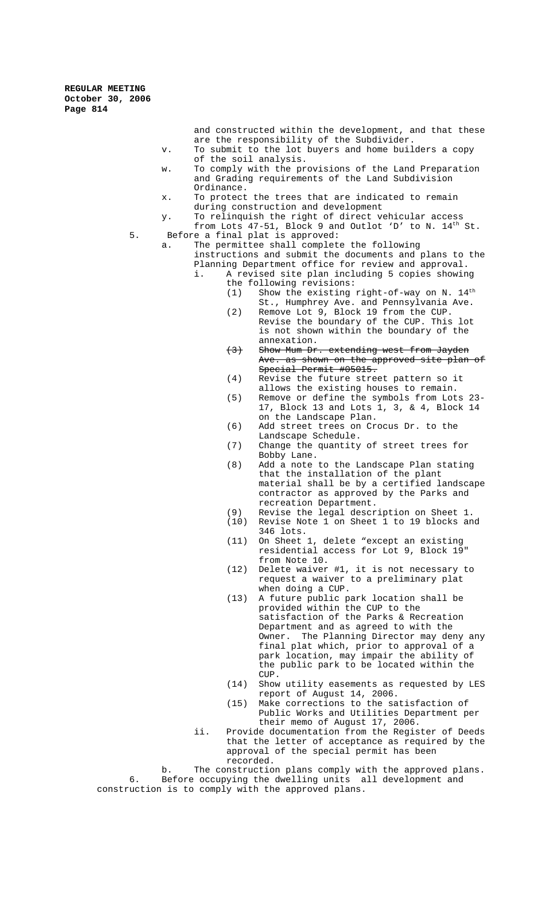> and constructed within the development, and that these are the responsibility of the Subdivider.

- v. To submit to the lot buyers and home builders a copy of the soil analysis.
- w. To comply with the provisions of the Land Preparation and Grading requirements of the Land Subdivision Ordinance.
- x. To protect the trees that are indicated to remain during construction and development
- y. To relinquish the right of direct vehicular access from Lots 47-51, Block 9 and Outlot 'D' to N. 14<sup>th</sup> St. 5. Before a final plat is approved:
- 

a. The permittee shall complete the following instructions and submit the documents and plans to the Planning Department office for review and approval. i. A revised site plan including 5 copies showing

- the following revisions: (1) Show the existing right-of-way on N.  $14<sup>th</sup>$ St., Humphrey Ave. and Pennsylvania Ave.
- (2) Remove Lot 9, Block 19 from the CUP. Revise the boundary of the CUP. This lot is not shown within the boundary of the annexation.
- (3) Show Mum Dr. extending west from Jayden as shown on the approved site plan of Special Permit #05015.
- (4) Revise the future street pattern so it allows the existing houses to remain.
- (5) Remove or define the symbols from Lots 23- 17, Block 13 and Lots 1, 3, & 4, Block 14 on the Landscape Plan.
- (6) Add street trees on Crocus Dr. to the Landscape Schedule.
- (7) Change the quantity of street trees for Bobby Lane.
- (8) Add a note to the Landscape Plan stating that the installation of the plant material shall be by a certified landscape contractor as approved by the Parks and recreation Department.
- (9) Revise the legal description on Sheet 1.
- (10) Revise Note 1 on Sheet 1 to 19 blocks and 346 lots.
- (11) On Sheet 1, delete "except an existing residential access for Lot 9, Block 19" from Note 10.
- (12) Delete waiver #1, it is not necessary to request a waiver to a preliminary plat when doing a CUP.
- (13) A future public park location shall be provided within the CUP to the satisfaction of the Parks & Recreation Department and as agreed to with the Owner. The Planning Director may deny any final plat which, prior to approval of a park location, may impair the ability of the public park to be located within the CUP.
- (14) Show utility easements as requested by LES report of August 14, 2006.
- (15) Make corrections to the satisfaction of Public Works and Utilities Department per their memo of August 17, 2006.
- ii. Provide documentation from the Register of Deeds that the letter of acceptance as required by the approval of the special permit has been recorded.

b. The construction plans comply with the approved plans. 6. Before occupying the dwelling units all development and construction is to comply with the approved plans.